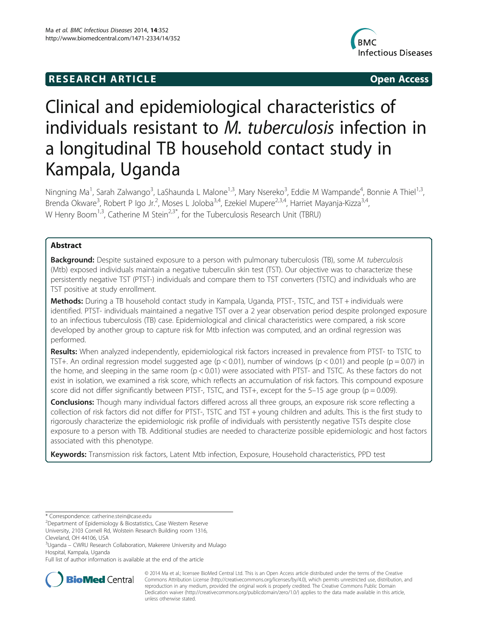# **RESEARCH ARTICLE Example 2014 CONSIDERING CONSIDERING CONSIDERING CONSIDERING CONSIDERING CONSIDERING CONSIDERING CONSIDERING CONSIDERING CONSIDERING CONSIDERING CONSIDERING CONSIDERING CONSIDERING CONSIDERING CONSIDE**



# Clinical and epidemiological characteristics of individuals resistant to M. tuberculosis infection in a longitudinal TB household contact study in Kampala, Uganda

Ningning Ma<sup>1</sup>, Sarah Zalwango<sup>3</sup>, LaShaunda L Malone<sup>1,3</sup>, Mary Nsereko<sup>3</sup>, Eddie M Wampande<sup>4</sup>, Bonnie A Thiel<sup>1,3</sup>, Brenda Okware<sup>3</sup>, Robert P Igo Jr.<sup>2</sup>, Moses L Joloba<sup>3,4</sup>, Ezekiel Mupere<sup>2,3,4</sup>, Harriet Mayanja-Kizza<sup>3,4</sup>, W Henry Boom<sup>1,3</sup>, Catherine M Stein<sup>2,3\*</sup>, for the Tuberculosis Research Unit (TBRU)

# Abstract

Background: Despite sustained exposure to a person with pulmonary tuberculosis (TB), some M. tuberculosis (Mtb) exposed individuals maintain a negative tuberculin skin test (TST). Our objective was to characterize these persistently negative TST (PTST-) individuals and compare them to TST converters (TSTC) and individuals who are TST positive at study enrollment.

Methods: During a TB household contact study in Kampala, Uganda, PTST-, TSTC, and TST + individuals were identified. PTST- individuals maintained a negative TST over a 2 year observation period despite prolonged exposure to an infectious tuberculosis (TB) case. Epidemiological and clinical characteristics were compared, a risk score developed by another group to capture risk for Mtb infection was computed, and an ordinal regression was performed.

Results: When analyzed independently, epidemiological risk factors increased in prevalence from PTST- to TSTC to TST+. An ordinal regression model suggested age ( $p < 0.01$ ), number of windows ( $p < 0.01$ ) and people ( $p = 0.07$ ) in the home, and sleeping in the same room (p < 0.01) were associated with PTST- and TSTC. As these factors do not exist in isolation, we examined a risk score, which reflects an accumulation of risk factors. This compound exposure score did not differ significantly between PTST-, TSTC, and TST+, except for the 5–15 age group ( $p = 0.009$ ).

Conclusions: Though many individual factors differed across all three groups, an exposure risk score reflecting a collection of risk factors did not differ for PTST-, TSTC and TST + young children and adults. This is the first study to rigorously characterize the epidemiologic risk profile of individuals with persistently negative TSTs despite close exposure to a person with TB. Additional studies are needed to characterize possible epidemiologic and host factors associated with this phenotype.

Keywords: Transmission risk factors, Latent Mtb infection, Exposure, Household characteristics, PPD test

\* Correspondence: catherine.stein@case.edu <sup>2</sup>

Department of Epidemiology & Biostatistics, Case Western Reserve

University, 2103 Cornell Rd, Wolstein Research Building room 1316,

Cleveland, OH 44106, USA

Full list of author information is available at the end of the article



© 2014 Ma et al.; licensee BioMed Central Ltd. This is an Open Access article distributed under the terms of the Creative Commons Attribution License (http://creativecommons.org/licenses/by/4.0), which permits unrestricted use, distribution, and reproduction in any medium, provided the original work is properly credited. The Creative Commons Public Domain Dedication waiver (http://creativecommons.org/publicdomain/zero/1.0/) applies to the data made available in this article, unless otherwise stated.

<sup>&</sup>lt;sup>3</sup>Uganda – CWRU Research Collaboration, Makerere University and Mulago Hospital, Kampala, Uganda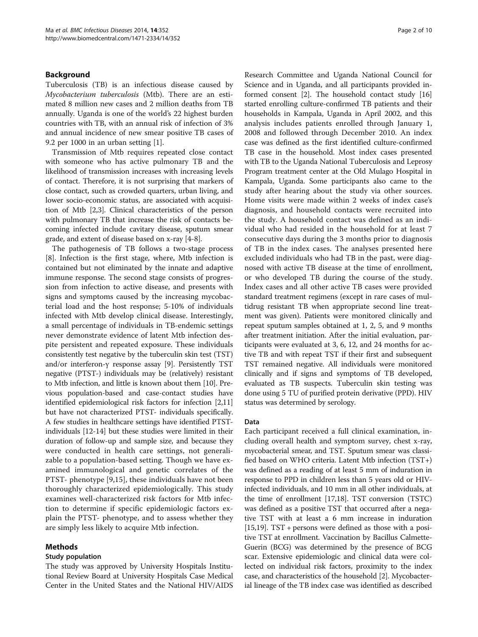# Background

Tuberculosis (TB) is an infectious disease caused by Mycobacterium tuberculosis (Mtb). There are an estimated 8 million new cases and 2 million deaths from TB annually. Uganda is one of the world's 22 highest burden countries with TB, with an annual risk of infection of 3% and annual incidence of new smear positive TB cases of 9.2 per 1000 in an urban setting [1].

Transmission of Mtb requires repeated close contact with someone who has active pulmonary TB and the likelihood of transmission increases with increasing levels of contact. Therefore, it is not surprising that markers of close contact, such as crowded quarters, urban living, and lower socio-economic status, are associated with acquisition of Mtb [2,3]. Clinical characteristics of the person with pulmonary TB that increase the risk of contacts becoming infected include cavitary disease, sputum smear grade, and extent of disease based on x-ray [4-8].

The pathogenesis of TB follows a two-stage process [8]. Infection is the first stage, where, Mtb infection is contained but not eliminated by the innate and adaptive immune response. The second stage consists of progression from infection to active disease, and presents with signs and symptoms caused by the increasing mycobacterial load and the host response; 5-10% of individuals infected with Mtb develop clinical disease. Interestingly, a small percentage of individuals in TB-endemic settings never demonstrate evidence of latent Mtb infection despite persistent and repeated exposure. These individuals consistently test negative by the tuberculin skin test (TST) and/or interferon-γ response assay [9]. Persistently TST negative (PTST-) individuals may be (relatively) resistant to Mtb infection, and little is known about them [10]. Previous population-based and case-contact studies have identified epidemiological risk factors for infection [2,11] but have not characterized PTST- individuals specifically. A few studies in healthcare settings have identified PTSTindividuals [12-14] but these studies were limited in their duration of follow-up and sample size, and because they were conducted in health care settings, not generalizable to a population-based setting. Though we have examined immunological and genetic correlates of the PTST- phenotype [9,15], these individuals have not been thoroughly characterized epidemiologically. This study examines well-characterized risk factors for Mtb infection to determine if specific epidemiologic factors explain the PTST- phenotype, and to assess whether they are simply less likely to acquire Mtb infection.

# Methods

# Study population

The study was approved by University Hospitals Institutional Review Board at University Hospitals Case Medical Center in the United States and the National HIV/AIDS

Research Committee and Uganda National Council for Science and in Uganda, and all participants provided informed consent [2]. The household contact study [16] started enrolling culture-confirmed TB patients and their households in Kampala, Uganda in April 2002, and this analysis includes patients enrolled through January 1, 2008 and followed through December 2010. An index case was defined as the first identified culture-confirmed TB case in the household. Most index cases presented with TB to the Uganda National Tuberculosis and Leprosy Program treatment center at the Old Mulago Hospital in Kampala, Uganda. Some participants also came to the study after hearing about the study via other sources. Home visits were made within 2 weeks of index case's diagnosis, and household contacts were recruited into the study. A household contact was defined as an individual who had resided in the household for at least 7 consecutive days during the 3 months prior to diagnosis of TB in the index cases. The analyses presented here excluded individuals who had TB in the past, were diagnosed with active TB disease at the time of enrollment, or who developed TB during the course of the study. Index cases and all other active TB cases were provided standard treatment regimens (except in rare cases of multidrug resistant TB when appropriate second line treatment was given). Patients were monitored clinically and repeat sputum samples obtained at 1, 2, 5, and 9 months after treatment initiation. After the initial evaluation, participants were evaluated at 3, 6, 12, and 24 months for active TB and with repeat TST if their first and subsequent TST remained negative. All individuals were monitored clinically and if signs and symptoms of TB developed, evaluated as TB suspects. Tuberculin skin testing was done using 5 TU of purified protein derivative (PPD). HIV status was determined by serology.

# Data

Each participant received a full clinical examination, including overall health and symptom survey, chest x-ray, mycobacterial smear, and TST. Sputum smear was classified based on WHO criteria. Latent Mtb infection (TST+) was defined as a reading of at least 5 mm of induration in response to PPD in children less than 5 years old or HIVinfected individuals, and 10 mm in all other individuals, at the time of enrollment [17,18]. TST conversion (TSTC) was defined as a positive TST that occurred after a negative TST with at least a 6 mm increase in induration [15,19]. TST + persons were defined as those with a positive TST at enrollment. Vaccination by Bacillus Calmette-Guerin (BCG) was determined by the presence of BCG scar. Extensive epidemiologic and clinical data were collected on individual risk factors, proximity to the index case, and characteristics of the household [2]. Mycobacterial lineage of the TB index case was identified as described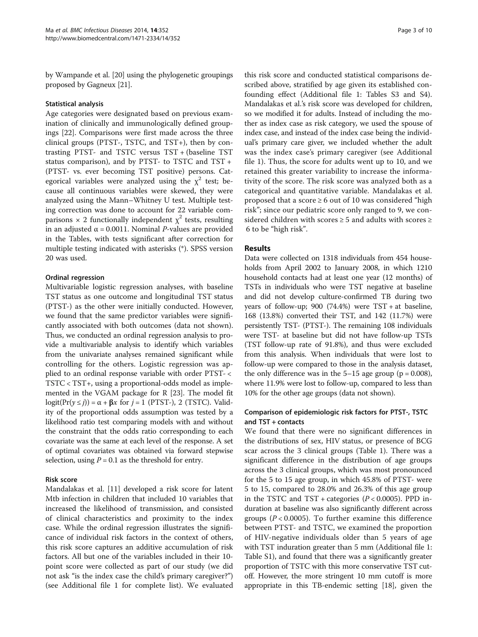by Wampande et al. [20] using the phylogenetic groupings proposed by Gagneux [21].

# Statistical analysis

Age categories were designated based on previous examination of clinically and immunologically defined groupings [22]. Comparisons were first made across the three clinical groups (PTST-, TSTC, and TST+), then by contrasting PTST- and TSTC versus TST + (baseline TST status comparison), and by PTST- to TSTC and TST + (PTST- vs. ever becoming TST positive) persons. Categorical variables were analyzed using the  $\chi^2$  test; because all continuous variables were skewed, they were analyzed using the Mann–Whitney U test. Multiple testing correction was done to account for 22 variable comparisons  $\times$  2 functionally independent  $\chi^2$  tests, resulting in an adjusted  $\alpha$  = 0.0011. Nominal *P*-values are provided in the Tables, with tests significant after correction for multiple testing indicated with asterisks (\*). SPSS version 20 was used.

# Ordinal regression

Multivariable logistic regression analyses, with baseline TST status as one outcome and longitudinal TST status (PTST-) as the other were initially conducted. However, we found that the same predictor variables were significantly associated with both outcomes (data not shown). Thus, we conducted an ordinal regression analysis to provide a multivariable analysis to identify which variables from the univariate analyses remained significant while controlling for the others. Logistic regression was applied to an ordinal response variable with order PTST- < TSTC < TST+, using a proportional-odds model as implemented in the VGAM package for R [23]. The model fit logit( $Pr(y \leq j)$ ) =  $\alpha + \beta x$  for  $j = 1$  (PTST-), 2 (TSTC). Validity of the proportional odds assumption was tested by a likelihood ratio test comparing models with and without the constraint that the odds ratio corresponding to each covariate was the same at each level of the response. A set of optimal covariates was obtained via forward stepwise selection, using  $P = 0.1$  as the threshold for entry.

# Risk score

Mandalakas et al. [11] developed a risk score for latent Mtb infection in children that included 10 variables that increased the likelihood of transmission, and consisted of clinical characteristics and proximity to the index case. While the ordinal regression illustrates the significance of individual risk factors in the context of others, this risk score captures an additive accumulation of risk factors. All but one of the variables included in their 10 point score were collected as part of our study (we did not ask "is the index case the child's primary caregiver?") (see Additional file 1 for complete list). We evaluated

this risk score and conducted statistical comparisons described above, stratified by age given its established confounding effect (Additional file 1: Tables S3 and S4). Mandalakas et al.'s risk score was developed for children, so we modified it for adults. Instead of including the mother as index case as risk category, we used the spouse of index case, and instead of the index case being the individual's primary care giver, we included whether the adult was the index case's primary caregiver (see Additional file 1). Thus, the score for adults went up to 10, and we retained this greater variability to increase the informativity of the score. The risk score was analyzed both as a categorical and quantitative variable. Mandalakas et al. proposed that a score  $\geq 6$  out of 10 was considered "high risk"; since our pediatric score only ranged to 9, we considered children with scores  $\geq 5$  and adults with scores  $\geq$ 6 to be "high risk".

# Results

Data were collected on 1318 individuals from 454 households from April 2002 to January 2008, in which 1210 household contacts had at least one year (12 months) of TSTs in individuals who were TST negative at baseline and did not develop culture-confirmed TB during two years of follow-up; 900 (74.4%) were TST + at baseline, 168 (13.8%) converted their TST, and 142 (11.7%) were persistently TST- (PTST-). The remaining 108 individuals were TST- at baseline but did not have follow-up TSTs (TST follow-up rate of 91.8%), and thus were excluded from this analysis. When individuals that were lost to follow-up were compared to those in the analysis dataset, the only difference was in the  $5-15$  age group ( $p = 0.008$ ), where 11.9% were lost to follow-up, compared to less than 10% for the other age groups (data not shown).

# Comparison of epidemiologic risk factors for PTST-, TSTC and TST + contacts

We found that there were no significant differences in the distributions of sex, HIV status, or presence of BCG scar across the 3 clinical groups (Table 1). There was a significant difference in the distribution of age groups across the 3 clinical groups, which was most pronounced for the 5 to 15 age group, in which 45.8% of PTST- were 5 to 15, compared to 28.0% and 26.3% of this age group in the TSTC and TST + categories  $(P < 0.0005)$ . PPD induration at baseline was also significantly different across groups ( $P < 0.0005$ ). To further examine this difference between PTST- and TSTC, we examined the proportion of HIV-negative individuals older than 5 years of age with TST induration greater than 5 mm (Additional file 1: Table S1), and found that there was a significantly greater proportion of TSTC with this more conservative TST cutoff. However, the more stringent 10 mm cutoff is more appropriate in this TB-endemic setting [18], given the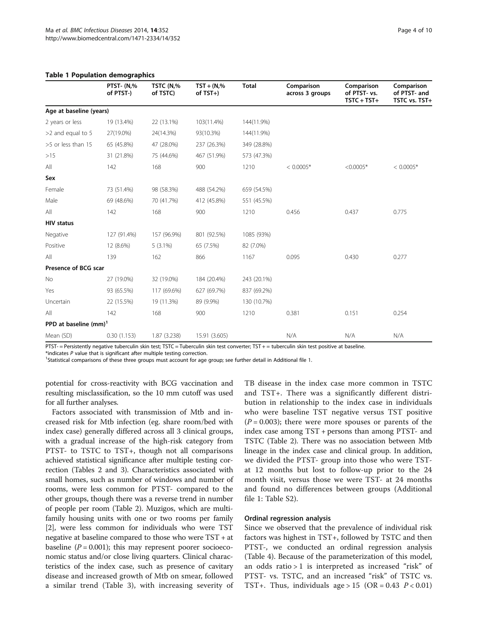|  |  | <b>Table 1 Population demographics</b> |
|--|--|----------------------------------------|
|--|--|----------------------------------------|

|                          | PTST- (N,%<br>of PTST-) | TSTC (N,%<br>of TSTC) | $TST + (N, %$<br>of $TST+$ ) | <b>Total</b> | Comparison<br>across 3 groups | Comparison<br>of PTST- vs.<br>$TSTC + TST+$ | Comparison<br>of PTST- and<br>TSTC vs. TST+ |
|--------------------------|-------------------------|-----------------------|------------------------------|--------------|-------------------------------|---------------------------------------------|---------------------------------------------|
| Age at baseline (years)  |                         |                       |                              |              |                               |                                             |                                             |
| 2 years or less          | 19 (13.4%)              | 22 (13.1%)            | 103(11.4%)                   | 144(11.9%)   |                               |                                             |                                             |
| >2 and equal to 5        | 27(19.0%)               | 24(14.3%)             | 93(10.3%)                    | 144(11.9%)   |                               |                                             |                                             |
| >5 or less than 15       | 65 (45.8%)              | 47 (28.0%)            | 237 (26.3%)                  | 349 (28.8%)  |                               |                                             |                                             |
| >15                      | 31 (21.8%)              | 75 (44.6%)            | 467 (51.9%)                  | 573 (47.3%)  |                               |                                             |                                             |
| All                      | 142                     | 168                   | 900                          | 1210         | $< 0.0005*$                   | $<0.0005*$                                  | $< 0.0005*$                                 |
| Sex                      |                         |                       |                              |              |                               |                                             |                                             |
| Female                   | 73 (51.4%)              | 98 (58.3%)            | 488 (54.2%)                  | 659 (54.5%)  |                               |                                             |                                             |
| Male                     | 69 (48.6%)              | 70 (41.7%)            | 412 (45.8%)                  | 551 (45.5%)  |                               |                                             |                                             |
| All                      | 142                     | 168                   | 900                          | 1210         | 0.456                         | 0.437                                       | 0.775                                       |
| <b>HIV status</b>        |                         |                       |                              |              |                               |                                             |                                             |
| Negative                 | 127 (91.4%)             | 157 (96.9%)           | 801 (92.5%)                  | 1085 (93%)   |                               |                                             |                                             |
| Positive                 | 12 (8.6%)               | $5(3.1\%)$            | 65 (7.5%)                    | 82 (7.0%)    |                               |                                             |                                             |
| All                      | 139                     | 162                   | 866                          | 1167         | 0.095                         | 0.430                                       | 0.277                                       |
| Presence of BCG scar     |                         |                       |                              |              |                               |                                             |                                             |
| No                       | 27 (19.0%)              | 32 (19.0%)            | 184 (20.4%)                  | 243 (20.1%)  |                               |                                             |                                             |
| Yes                      | 93 (65.5%)              | 117 (69.6%)           | 627 (69.7%)                  | 837 (69.2%)  |                               |                                             |                                             |
| Uncertain                | 22 (15.5%)              | 19 (11.3%)            | 89 (9.9%)                    | 130 (10.7%)  |                               |                                             |                                             |
| All                      | 142                     | 168                   | 900                          | 1210         | 0.381                         | 0.151                                       | 0.254                                       |
| PPD at baseline $(mm)^1$ |                         |                       |                              |              |                               |                                             |                                             |
| Mean (SD)                | 0.30(1.153)             | 1.87 (3.238)          | 15.91 (3.605)                |              | N/A                           | N/A                                         | N/A                                         |

PTST- = Persistently negative tuberculin skin test; TSTC = Tuberculin skin test converter; TST + = tuberculin skin test positive at baseline.

 $*$ indicates  $P$  value that is significant after multiple testing correction.

<sup>1</sup>Statistical comparisons of these three groups must account for age group; see further detail in Additional file 1.

potential for cross-reactivity with BCG vaccination and resulting misclassification, so the 10 mm cutoff was used for all further analyses.

Factors associated with transmission of Mtb and increased risk for Mtb infection (eg. share room/bed with index case) generally differed across all 3 clinical groups, with a gradual increase of the high-risk category from PTST- to TSTC to TST+, though not all comparisons achieved statistical significance after multiple testing correction (Tables 2 and 3). Characteristics associated with small homes, such as number of windows and number of rooms, were less common for PTST- compared to the other groups, though there was a reverse trend in number of people per room (Table 2). Muzigos, which are multifamily housing units with one or two rooms per family [2], were less common for individuals who were TST negative at baseline compared to those who were TST + at baseline ( $P = 0.001$ ); this may represent poorer socioeconomic status and/or close living quarters. Clinical characteristics of the index case, such as presence of cavitary disease and increased growth of Mtb on smear, followed a similar trend (Table 3), with increasing severity of

TB disease in the index case more common in TSTC and TST+. There was a significantly different distribution in relationship to the index case in individuals who were baseline TST negative versus TST positive  $(P = 0.003)$ ; there were more spouses or parents of the index case among TST + persons than among PTST- and TSTC (Table 2). There was no association between Mtb lineage in the index case and clinical group. In addition, we divided the PTST- group into those who were TSTat 12 months but lost to follow-up prior to the 24 month visit, versus those we were TST- at 24 months and found no differences between groups (Additional file 1: Table S2).

# Ordinal regression analysis

Since we observed that the prevalence of individual risk factors was highest in TST+, followed by TSTC and then PTST-, we conducted an ordinal regression analysis (Table 4). Because of the parameterization of this model, an odds ratio > 1 is interpreted as increased "risk" of PTST- vs. TSTC, and an increased "risk" of TSTC vs. TST+. Thus, individuals age > 15 (OR = 0.43  $P < 0.01$ )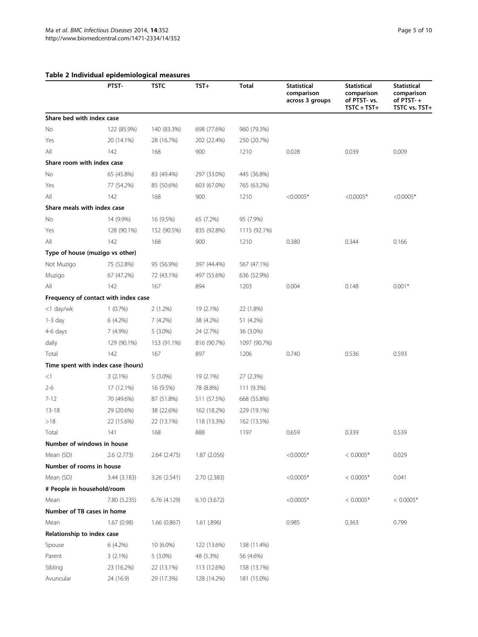# Table 2 Individual epidemiological measures

|                             | marviaga epiaemologi<br>PTST-        | TSTC         | $TST+$        | Total        | Statistical<br>comparison<br>across 3 groups | <b>Statistical</b><br>comparison<br>of PTST- vs.<br>$TSTC + TST+$ | Statistical<br>comparison<br>of $PTST - +$<br>TSTC vs. TST+ |
|-----------------------------|--------------------------------------|--------------|---------------|--------------|----------------------------------------------|-------------------------------------------------------------------|-------------------------------------------------------------|
| Share bed with index case   |                                      |              |               |              |                                              |                                                                   |                                                             |
| No                          | 122 (85.9%)                          | 140 (83.3%)  | 698 (77.6%)   | 960 (79.3%)  |                                              |                                                                   |                                                             |
| Yes                         | 20 (14.1%)                           | 28 (16.7%)   | 202 (22.4%)   | 250 (20.7%)  |                                              |                                                                   |                                                             |
| All                         | 142                                  | 168          | 900           | 1210         | 0.028                                        | 0.039                                                             | 0.009                                                       |
| Share room with index case  |                                      |              |               |              |                                              |                                                                   |                                                             |
| No                          | 65 (45.8%)                           | 83 (49.4%)   | 297 (33.0%)   | 445 (36.8%)  |                                              |                                                                   |                                                             |
| Yes                         | 77 (54.2%)                           | 85 (50.6%)   | 603 (67.0%)   | 765 (63.2%)  |                                              |                                                                   |                                                             |
| All                         | 142                                  | 168          | 900           | 1210         | $<0.0005*$                                   | $<0.0005*$                                                        | $< 0.0005*$                                                 |
| Share meals with index case |                                      |              |               |              |                                              |                                                                   |                                                             |
| No                          | 14 (9.9%)                            | 16 (9.5%)    | 65 (7.2%)     | 95 (7.9%)    |                                              |                                                                   |                                                             |
| Yes                         | 128 (90.1%)                          | 152 (90.5%)  | 835 (92.8%)   | 1115 (92.1%) |                                              |                                                                   |                                                             |
| All                         | 142                                  | 168          | 900           | 1210         | 0.380                                        | 0.344                                                             | 0.166                                                       |
|                             | Type of house (muzigo vs other)      |              |               |              |                                              |                                                                   |                                                             |
| Not Muzigo                  | 75 (52.8%)                           | 95 (56.9%)   | 397 (44.4%)   | 567 (47.1%)  |                                              |                                                                   |                                                             |
| Muzigo                      | 67 (47.2%)                           | 72 (43.1%)   | 497 (55.6%)   | 636 (52.9%)  |                                              |                                                                   |                                                             |
| All                         | 142                                  | 167          | 894           | 1203         | 0.004                                        | 0.148                                                             | $0.001*$                                                    |
|                             | Frequency of contact with index case |              |               |              |                                              |                                                                   |                                                             |
| <1 day/wk                   | $1(0.7\%)$                           | $2(1.2\%)$   | 19 (2.1%)     | 22 (1.8%)    |                                              |                                                                   |                                                             |
| $1-3$ day                   | $6(4.2\%)$                           | $7(4.2\%)$   | 38 (4.2%)     | 51 (4.2%)    |                                              |                                                                   |                                                             |
| 4-6 days                    | 7 (4.9%)                             | $5(3.0\%)$   | 24 (2.7%)     | 36 (3.0%)    |                                              |                                                                   |                                                             |
| daily                       | 129 (90.1%)                          | 153 (91.1%)  | 816 (90.7%)   | 1097 (90.7%) |                                              |                                                                   |                                                             |
| Total                       | 142                                  | 167          | 897           | 1206         | 0.740                                        | 0.536                                                             | 0.593                                                       |
|                             | Time spent with index case (hours)   |              |               |              |                                              |                                                                   |                                                             |
| <1                          | $3(2.1\%)$                           | $5(3.0\%)$   | 19 (2.1%)     | 27 (2.3%)    |                                              |                                                                   |                                                             |
| $2 - 6$                     | 17 (12.1%)                           | 16 (9.5%)    | 78 (8.8%)     | 111 (9.3%)   |                                              |                                                                   |                                                             |
| $7 - 12$                    | 70 (49.6%)                           | 87 (51.8%)   | 511 (57.5%)   | 668 (55.8%)  |                                              |                                                                   |                                                             |
| $13 - 18$                   | 29 (20.6%)                           | 38 (22.6%)   | 162 (18.2%)   | 229 (19.1%)  |                                              |                                                                   |                                                             |
| >18                         | 22 (15.6%)                           | 22 (13.1%)   | 118 (13.3%)   | 162 (13.5%)  |                                              |                                                                   |                                                             |
| Total                       | 141                                  | 168          | 888           | 1197         | 0.659                                        | 0.339                                                             | 0.539                                                       |
| Number of windows in house  |                                      |              |               |              |                                              |                                                                   |                                                             |
| Mean (SD)                   | 2.6(2.773)                           | 2.64(2.475)  | 1.87(2.056)   |              | $<0.0005*$                                   | $< 0.0005*$                                                       | 0.029                                                       |
| Number of rooms in house    |                                      |              |               |              |                                              |                                                                   |                                                             |
| Mean (SD)                   | 3.44 (3.183)                         | 3.26 (2.541) | 2.70 (2.383)  |              | $<0.0005*$                                   | $< 0.0005*$                                                       | 0.041                                                       |
| # People in household/room  |                                      |              |               |              |                                              |                                                                   |                                                             |
| Mean                        | 7.80 (5.235)                         | 6.76(4.129)  | 6.10(3.672)   |              | $<0.0005*$                                   | $< 0.0005*$                                                       | $< 0.0005*$                                                 |
| Number of TB cases in home  |                                      |              |               |              |                                              |                                                                   |                                                             |
| Mean                        | 1.67(0.98)                           | 1.66(0.867)  | $1.61$ (.896) |              | 0.985                                        | 0.363                                                             | 0.799                                                       |
| Relationship to index case  |                                      |              |               |              |                                              |                                                                   |                                                             |
| Spouse                      | 6 (4.2%)                             | 10 (6.0%)    | 122 (13.6%)   | 138 (11.4%)  |                                              |                                                                   |                                                             |
| Parent                      | $3(2.1\%)$                           | $5(3.0\%)$   | 48 (5.3%)     | 56 (4.6%)    |                                              |                                                                   |                                                             |
| Sibling                     | 23 (16.2%)                           | 22 (13.1%)   | 113 (12.6%)   | 158 (13.1%)  |                                              |                                                                   |                                                             |
| Avuncular                   | 24 (16.9)                            | 29 (17.3%)   | 128 (14.2%)   | 181 (15.0%)  |                                              |                                                                   |                                                             |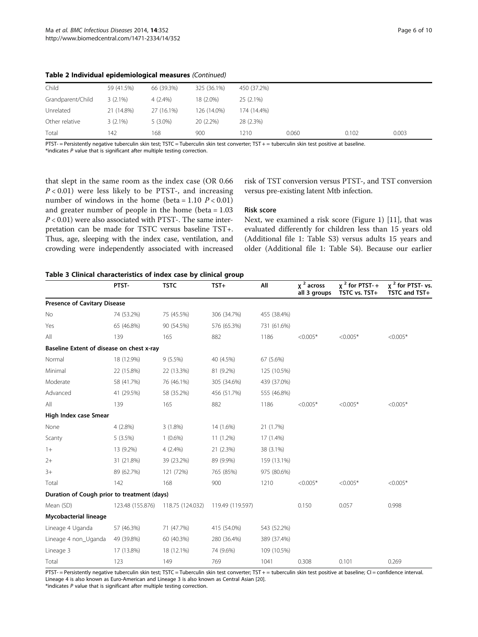| Child             | 59 (41.5%) | 66 (39.3%) | 325 (36.1%) | 450 (37.2%) |       |       |       |
|-------------------|------------|------------|-------------|-------------|-------|-------|-------|
| Grandparent/Child | $3(2.1\%)$ | $4(2.4\%)$ | 18 (2.0%)   | $25(2.1\%)$ |       |       |       |
| Unrelated         | 21 (14.8%) | 27 (16.1%) | 126 (14.0%) | 174 (14.4%) |       |       |       |
| Other relative    | $3(2.1\%)$ | $5(3.0\%)$ | $20(2.2\%)$ | 28 (2.3%)   |       |       |       |
| Total             | 142        | 168        | 900         | 1210        | 0.060 | 0.102 | 0.003 |

Table 2 Individual epidemiological measures (Continued)

PTST- = Persistently negative tuberculin skin test; TSTC = Tuberculin skin test converter; TST + = tuberculin skin test positive at baseline.  $*$ indicates  $P$  value that is significant after multiple testing correction.

that slept in the same room as the index case (OR 0.66  $P < 0.01$ ) were less likely to be PTST-, and increasing number of windows in the home (beta = 1.10  $P < 0.01$ ) and greater number of people in the home (beta = 1.03  $P < 0.01$ ) were also associated with PTST-. The same interpretation can be made for TSTC versus baseline TST+. Thus, age, sleeping with the index case, ventilation, and crowding were independently associated with increased

risk of TST conversion versus PTST-, and TST conversion versus pre-existing latent Mtb infection.

#### Risk score

Next, we examined a risk score (Figure 1) [11], that was evaluated differently for children less than 15 years old (Additional file 1: Table S3) versus adults 15 years and older (Additional file 1: Table S4). Because our earlier

# Table 3 Clinical characteristics of index case by clinical group

|                                             | PTST-            | <b>TSTC</b>      | $TST+$           | All         | $x^2$ across<br>all 3 groups | $\chi^2$ for PTST-+<br>TSTC vs. TST+ | $x^2$ for PTST- vs.<br>TSTC and TST+ |
|---------------------------------------------|------------------|------------------|------------------|-------------|------------------------------|--------------------------------------|--------------------------------------|
| <b>Presence of Cavitary Disease</b>         |                  |                  |                  |             |                              |                                      |                                      |
| No                                          | 74 (53.2%)       | 75 (45.5%)       | 306 (34.7%)      | 455 (38.4%) |                              |                                      |                                      |
| Yes                                         | 65 (46.8%)       | 90 (54.5%)       | 576 (65.3%)      | 731 (61.6%) |                              |                                      |                                      |
| All                                         | 139              | 165              | 882              | 1186        | $< 0.005*$                   | $< 0.005*$                           | $< 0.005*$                           |
| Baseline Extent of disease on chest x-ray   |                  |                  |                  |             |                              |                                      |                                      |
| Normal                                      | 18 (12.9%)       | $9(5.5\%)$       | 40 (4.5%)        | 67 (5.6%)   |                              |                                      |                                      |
| Minimal                                     | 22 (15.8%)       | 22 (13.3%)       | 81 (9.2%)        | 125 (10.5%) |                              |                                      |                                      |
| Moderate                                    | 58 (41.7%)       | 76 (46.1%)       | 305 (34.6%)      | 439 (37.0%) |                              |                                      |                                      |
| Advanced                                    | 41 (29.5%)       | 58 (35.2%)       | 456 (51.7%)      | 555 (46.8%) |                              |                                      |                                      |
| All                                         | 139              | 165              | 882              | 1186        | $< 0.005*$                   | $< 0.005*$                           | $< 0.005*$                           |
| High Index case Smear                       |                  |                  |                  |             |                              |                                      |                                      |
| None                                        | 4(2.8%)          | $3(1.8\%)$       | 14 (1.6%)        | 21 (1.7%)   |                              |                                      |                                      |
| Scanty                                      | 5(3.5%)          | $1(0.6\%)$       | 11 (1.2%)        | 17 (1.4%)   |                              |                                      |                                      |
| $1+$                                        | 13 (9.2%)        | $4(2.4\%)$       | 21 (2.3%)        | 38 (3.1%)   |                              |                                      |                                      |
| $2+$                                        | 31 (21.8%)       | 39 (23.2%)       | 89 (9.9%)        | 159 (13.1%) |                              |                                      |                                      |
| $3+$                                        | 89 (62.7%)       | 121 (72%)        | 765 (85%)        | 975 (80.6%) |                              |                                      |                                      |
| Total                                       | 142              | 168              | 900              | 1210        | $< 0.005*$                   | $< 0.005*$                           | $< 0.005*$                           |
| Duration of Cough prior to treatment (days) |                  |                  |                  |             |                              |                                      |                                      |
| Mean (SD)                                   | 123.48 (155.876) | 118.75 (124.032) | 119.49 (119.597) |             | 0.150                        | 0.057                                | 0.998                                |
| Mycobacterial lineage                       |                  |                  |                  |             |                              |                                      |                                      |
| Lineage 4 Uganda                            | 57 (46.3%)       | 71 (47.7%)       | 415 (54.0%)      | 543 (52.2%) |                              |                                      |                                      |
| Lineage 4 non_Uganda                        | 49 (39.8%)       | 60 (40.3%)       | 280 (36.4%)      | 389 (37.4%) |                              |                                      |                                      |
| Lineage 3                                   | 17 (13.8%)       | 18 (12.1%)       | 74 (9.6%)        | 109 (10.5%) |                              |                                      |                                      |
| Total                                       | 123              | 149              | 769              | 1041        | 0.308                        | 0.101                                | 0.269                                |

PTST- = Persistently negative tuberculin skin test; TSTC = Tuberculin skin test converter; TST + = tuberculin skin test positive at baseline; CI = confidence interval. Lineage 4 is also known as Euro-American and Lineage 3 is also known as Central Asian [20].

 $*$ indicates  $P$  value that is significant after multiple testing correction.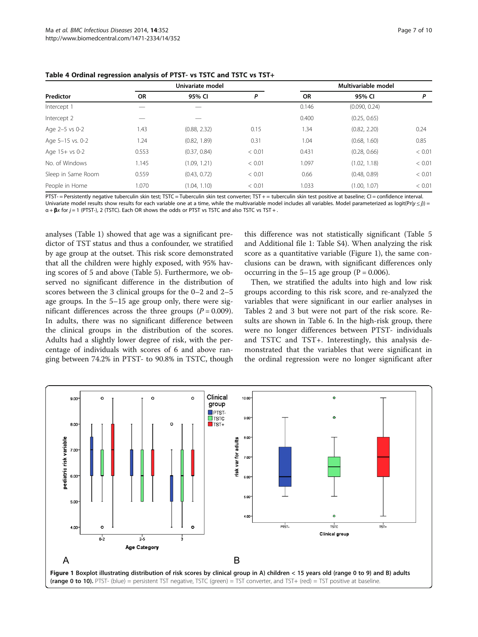| Predictor          |           | Univariate model |        |           | Multivariable model |        |
|--------------------|-----------|------------------|--------|-----------|---------------------|--------|
|                    | <b>OR</b> | 95% CI           | P      | <b>OR</b> | 95% CI              | Ρ      |
| Intercept 1        |           |                  |        | 0.146     | (0.090, 0.24)       |        |
| Intercept 2        |           |                  |        | 0.400     | (0.25, 0.65)        |        |
| Age 2-5 vs 0-2     | 1.43      | (0.88, 2.32)     | 0.15   | 1.34      | (0.82, 2.20)        | 0.24   |
| Age 5-15 vs. 0-2   | 1.24      | (0.82, 1.89)     | 0.31   | 1.04      | (0.68, 1.60)        | 0.85   |
| Age 15+ vs 0-2     | 0.553     | (0.37, 0.84)     | < 0.01 | 0.431     | (0.28, 0.66)        | < 0.01 |
| No. of Windows     | 1.145     | (1.09, 1.21)     | < 0.01 | 1.097     | (1.02, 1.18)        | < 0.01 |
| Sleep in Same Room | 0.559     | (0.43, 0.72)     | < 0.01 | 0.66      | (0.48, 0.89)        | < 0.01 |
| People in Home     | 1.070     | (1.04, 1.10)     | < 0.01 | 1.033     | (1.00, 1.07)        | < 0.01 |

Table 4 Ordinal regression analysis of PTST- vs TSTC and TSTC vs TST+

PTST- = Persistently negative tuberculin skin test; TSTC = Tuberculin skin test converter; TST + = tuberculin skin test positive at baseline; CI = confidence interval. Univariate model results show results for each variable one at a time, while the multivariable model includes all variables. Model parameterized as logit(Pr(y  $\leq j$ )) =  $\alpha$  + **β**x for  $j = 1$  (PTST-), 2 (TSTC). Each OR shows the odds or PTST vs TSTC and also TSTC vs TST + .

analyses (Table 1) showed that age was a significant predictor of TST status and thus a confounder, we stratified by age group at the outset. This risk score demonstrated that all the children were highly exposed, with 95% having scores of 5 and above (Table 5). Furthermore, we observed no significant difference in the distribution of scores between the 3 clinical groups for the 0–2 and 2–5 age groups. In the 5–15 age group only, there were significant differences across the three groups  $(P = 0.009)$ . In adults, there was no significant difference between the clinical groups in the distribution of the scores. Adults had a slightly lower degree of risk, with the percentage of individuals with scores of 6 and above ranging between 74.2% in PTST- to 90.8% in TSTC, though

this difference was not statistically significant (Table 5 and Additional file 1: Table S4). When analyzing the risk score as a quantitative variable (Figure 1), the same conclusions can be drawn, with significant differences only occurring in the  $5-15$  age group (P = 0.006).

Then, we stratified the adults into high and low risk groups according to this risk score, and re-analyzed the variables that were significant in our earlier analyses in Tables 2 and 3 but were not part of the risk score. Results are shown in Table 6. In the high-risk group, there were no longer differences between PTST- individuals and TSTC and TST+. Interestingly, this analysis demonstrated that the variables that were significant in the ordinal regression were no longer significant after

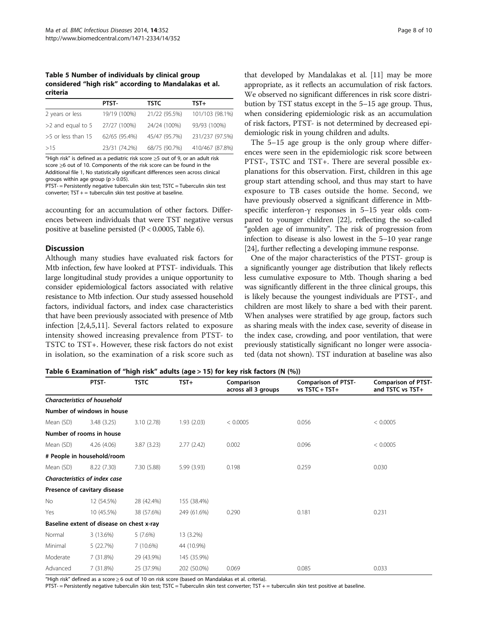Table 5 Number of individuals by clinical group considered "high risk" according to Mandalakas et al. criteria

|                     | PTST-         | <b>TSTC</b>   | TST+            |
|---------------------|---------------|---------------|-----------------|
| 2 years or less     | 19/19 (100%)  | 21/22 (95.5%) | 101/103 (98.1%) |
| $>2$ and equal to 5 | 27/27 (100%)  | 24/24 (100%)  | 93/93 (100%)    |
| >5 or less than 15  | 62/65 (95.4%) | 45/47 (95.7%) | 231/237 (97.5%) |
| >15                 | 23/31 (74.2%) | 68/75 (90.7%) | 410/467 (87.8%) |

"High risk" is defined as a pediatric risk score ≥5 out of 9, or an adult risk score ≥6 out of 10. Components of the risk score can be found in the Additional file 1, No statistically significant differences seen across clinical groups within age group  $(p > 0.05)$ .

PTST- = Persistently negative tuberculin skin test; TSTC = Tuberculin skin test converter; TST + = tuberculin skin test positive at baseline.

accounting for an accumulation of other factors. Differences between individuals that were TST negative versus positive at baseline persisted (P < 0.0005, Table 6).

# **Discussion**

Although many studies have evaluated risk factors for Mtb infection, few have looked at PTST- individuals. This large longitudinal study provides a unique opportunity to consider epidemiological factors associated with relative resistance to Mtb infection. Our study assessed household factors, individual factors, and index case characteristics that have been previously associated with presence of Mtb infection [2,4,5,11]. Several factors related to exposure intensity showed increasing prevalence from PTST- to TSTC to TST+. However, these risk factors do not exist in isolation, so the examination of a risk score such as

that developed by Mandalakas et al. [11] may be more appropriate, as it reflects an accumulation of risk factors. We observed no significant differences in risk score distribution by TST status except in the 5–15 age group. Thus, when considering epidemiologic risk as an accumulation of risk factors, PTST- is not determined by decreased epidemiologic risk in young children and adults.

The 5–15 age group is the only group where differences were seen in the epidemiologic risk score between PTST-, TSTC and TST+. There are several possible explanations for this observation. First, children in this age group start attending school, and thus may start to have exposure to TB cases outside the home. Second, we have previously observed a significant difference in Mtbspecific interferon-γ responses in 5–15 year olds compared to younger children [22], reflecting the so-called "golden age of immunity". The risk of progression from infection to disease is also lowest in the 5–10 year range [24], further reflecting a developing immune response.

One of the major characteristics of the PTST- group is a significantly younger age distribution that likely reflects less cumulative exposure to Mtb. Though sharing a bed was significantly different in the three clinical groups, this is likely because the youngest individuals are PTST-, and children are most likely to share a bed with their parent. When analyses were stratified by age group, factors such as sharing meals with the index case, severity of disease in the index case, crowding, and poor ventilation, that were previously statistically significant no longer were associated (data not shown). TST induration at baseline was also

Table 6 Examination of "high risk" adults (age > 15) for key risk factors (N (%))

|           | PTST-                                     | <b>TSTC</b> | $TST+$      | Comparison<br>across all 3 groups | <b>Comparison of PTST-</b><br>$vs$ TSTC + TST+ | <b>Comparison of PTST-</b><br>and TSTC vs TST+ |
|-----------|-------------------------------------------|-------------|-------------|-----------------------------------|------------------------------------------------|------------------------------------------------|
|           | <b>Characteristics of household</b>       |             |             |                                   |                                                |                                                |
|           | Number of windows in house                |             |             |                                   |                                                |                                                |
| Mean (SD) | 3.48(3.25)                                | 3.10(2.78)  | 1.93(2.03)  | < 0.0005                          | 0.056                                          | < 0.0005                                       |
|           | Number of rooms in house                  |             |             |                                   |                                                |                                                |
| Mean (SD) | 4.26(4.06)                                | 3.87(3.23)  | 2.77(2.42)  | 0.002                             | 0.096                                          | < 0.0005                                       |
|           | # People in household/room                |             |             |                                   |                                                |                                                |
| Mean (SD) | 8.22 (7.30)                               | 7.30 (5.88) | 5.99 (3.93) | 0.198                             | 0.259                                          | 0.030                                          |
|           | Characteristics of index case             |             |             |                                   |                                                |                                                |
|           | Presence of cavitary disease              |             |             |                                   |                                                |                                                |
| No.       | 12 (54.5%)                                | 28 (42.4%)  | 155 (38.4%) |                                   |                                                |                                                |
| Yes       | 10 (45.5%)                                | 38 (57.6%)  | 249 (61.6%) | 0.290                             | 0.181                                          | 0.231                                          |
|           | Baseline extent of disease on chest x-ray |             |             |                                   |                                                |                                                |
| Normal    | 3 (13.6%)                                 | $5(7.6\%)$  | 13 (3.2%)   |                                   |                                                |                                                |
| Minimal   | 5 (22.7%)                                 | 7 (10.6%)   | 44 (10.9%)  |                                   |                                                |                                                |
| Moderate  | 7(31.8%)                                  | 29 (43.9%)  | 145 (35.9%) |                                   |                                                |                                                |
| Advanced  | 7(31.8%)                                  | 25 (37.9%)  | 202 (50.0%) | 0.069                             | 0.085                                          | 0.033                                          |

"High risk" defined as a score ≥ 6 out of 10 on risk score (based on Mandalakas et al. criteria).

PTST- = Persistently negative tuberculin skin test; TSTC = Tuberculin skin test converter; TST + = tuberculin skin test positive at baseline.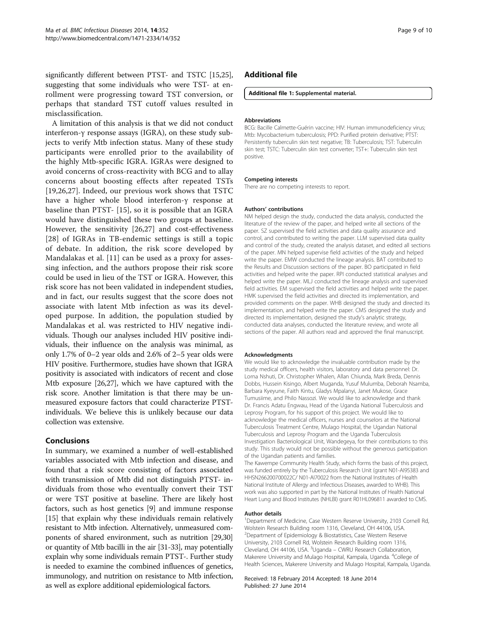significantly different between PTST- and TSTC [15,25], suggesting that some individuals who were TST- at enrollment were progressing toward TST conversion, or perhaps that standard TST cutoff values resulted in misclassification.

A limitation of this analysis is that we did not conduct interferon-γ response assays (IGRA), on these study subjects to verify Mtb infection status. Many of these study participants were enrolled prior to the availability of the highly Mtb-specific IGRA. IGRAs were designed to avoid concerns of cross-reactivity with BCG and to allay concerns about boosting effects after repeated TSTs [19,26,27]. Indeed, our previous work shows that TSTC have a higher whole blood interferon-γ response at baseline than PTST- [15], so it is possible that an IGRA would have distinguished these two groups at baseline. However, the sensitivity [26,27] and cost-effectiveness [28] of IGRAs in TB-endemic settings is still a topic of debate. In addition, the risk score developed by Mandalakas et al. [11] can be used as a proxy for assessing infection, and the authors propose their risk score could be used in lieu of the TST or IGRA. However, this risk score has not been validated in independent studies, and in fact, our results suggest that the score does not associate with latent Mtb infection as was its developed purpose. In addition, the population studied by Mandalakas et al. was restricted to HIV negative individuals. Though our analyses included HIV positive individuals, their influence on the analysis was minimal, as only 1.7% of 0–2 year olds and 2.6% of 2–5 year olds were HIV positive. Furthermore, studies have shown that IGRA positivity is associated with indicators of recent and close Mtb exposure [26,27], which we have captured with the risk score. Another limitation is that there may be unmeasured exposure factors that could characterize PTSTindividuals. We believe this is unlikely because our data collection was extensive.

# Conclusions

In summary, we examined a number of well-established variables associated with Mtb infection and disease, and found that a risk score consisting of factors associated with transmission of Mtb did not distinguish PTST- individuals from those who eventually convert their TST or were TST positive at baseline. There are likely host factors, such as host genetics [9] and immune response [15] that explain why these individuals remain relatively resistant to Mtb infection. Alternatively, unmeasured components of shared environment, such as nutrition [29,30] or quantity of Mtb bacilli in the air [31-33], may potentially explain why some individuals remain PTST-. Further study is needed to examine the combined influences of genetics, immunology, and nutrition on resistance to Mtb infection, as well as explore additional epidemiological factors.

# Additional file

#### Additional file 1: Supplemental material.

#### Abbreviations

BCG: Bacille Calmette-Guérin vaccine; HIV: Human immunodeficiency virus; Mtb: Mycobacterium tuberculosis; PPD: Purified protein derivative; PTST: Persistently tuberculin skin test negative; TB: Tuberculosis; TST: Tuberculin skin test; TSTC: Tuberculin skin test converter; TST+: Tuberculin skin test positive.

#### Competing interests

There are no competing interests to report.

#### Authors' contributions

NM helped design the study, conducted the data analysis, conducted the literature of the review of the paper, and helped write all sections of the paper. SZ supervised the field activities and data quality assurance and control, and contributed to writing the paper. LLM supervised data quality and control of the study, created the analysis dataset, and edited all sections of the paper. MN helped supervise field activities of the study and helped write the paper. EMW conducted the lineage analysis. BAT contributed to the Results and Discussion sections of the paper. BO participated in field activities and helped write the paper. RPI conducted statistical analyses and helped write the paper. MLJ conducted the lineage analysis and supervised field activities. EM supervised the field activities and helped write the paper. HMK supervised the field activities and directed its implementation, and provided comments on the paper. WHB designed the study and directed its implementation, and helped write the paper. CMS designed the study and directed its implementation, designed the study's analytic strategy, conducted data analyses, conducted the literature review, and wrote all sections of the paper. All authors read and approved the final manuscript.

#### Acknowledgments

We would like to acknowledge the invaluable contribution made by the study medical officers, health visitors, laboratory and data personnel: Dr. Lorna Nshuti, Dr. Christopher Whalen, Allan Chiunda, Mark Breda, Dennis Dobbs, Hussein Kisingo, Albert Muganda, Yusuf Mulumba, Deborah Nsamba, Barbara Kyeyune, Faith Kintu, Gladys Mpalanyi, Janet Mukose, Grace Tumusiime, and Philo Nassozi. We would like to acknowledge and thank Dr. Francis Adatu Engwau, Head of the Uganda National Tuberculosis and Leprosy Program, for his support of this project. We would like to acknowledge the medical officers, nurses and counselors at the National Tuberculosis Treatment Centre, Mulago Hospital, the Ugandan National Tuberculosis and Leprosy Program and the Uganda Tuberculosis Investigation Bacteriological Unit, Wandegeya, for their contributions to this study. This study would not be possible without the generous participation of the Ugandan patients and families.

The Kawempe Community Health Study, which forms the basis of this project, was funded entirely by the Tuberculosis Research Unit (grant N01-AI95383 and HHSN266200700022C/ N01-AI70022 from the National Institutes of Health National Institute of Allergy and Infectious Diseases, awarded to WHB). This work was also supported in part by the National Institutes of Health National Heart Lung and Blood Institutes (NHLBI) grant R01HL096811 awarded to CMS.

#### Author details

<sup>1</sup>Department of Medicine, Case Western Reserve University, 2103 Cornell Rd, Wolstein Research Building room 1316, Cleveland, OH 44106, USA. 2 Department of Epidemiology & Biostatistics, Case Western Reserve University, 2103 Cornell Rd, Wolstein Research Building room 1316, Cleveland, OH 44106, USA. <sup>3</sup>Uganda - CWRU Research Collaboration Makerere University and Mulago Hospital, Kampala, Uganda. <sup>4</sup>College of Health Sciences, Makerere University and Mulago Hospital, Kampala, Uganda.

Received: 18 February 2014 Accepted: 18 June 2014 Published: 27 June 2014